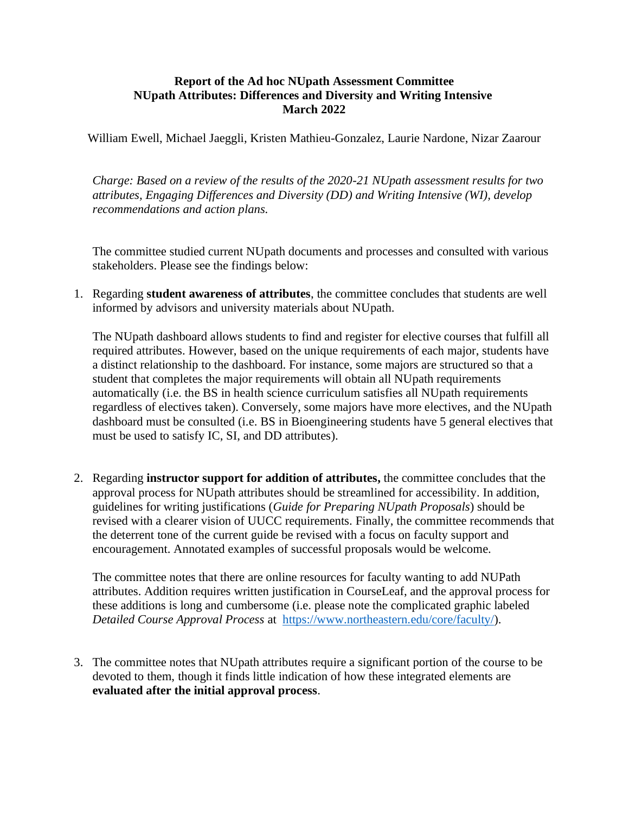## **Report of the Ad hoc NUpath Assessment Committee NUpath Attributes: Differences and Diversity and Writing Intensive March 2022**

William Ewell, Michael Jaeggli, Kristen Mathieu-Gonzalez, Laurie Nardone, Nizar Zaarour

*Charge: Based on a review of the results of the 2020-21 NUpath assessment results for two attributes, Engaging Differences and Diversity (DD) and Writing Intensive (WI), develop recommendations and action plans.*

The committee studied current NUpath documents and processes and consulted with various stakeholders. Please see the findings below:

1. Regarding **student awareness of attributes**, the committee concludes that students are well informed by advisors and university materials about NUpath.

The NUpath dashboard allows students to find and register for elective courses that fulfill all required attributes. However, based on the unique requirements of each major, students have a distinct relationship to the dashboard. For instance, some majors are structured so that a student that completes the major requirements will obtain all NUpath requirements automatically (i.e. the BS in health science curriculum satisfies all NUpath requirements regardless of electives taken). Conversely, some majors have more electives, and the NUpath dashboard must be consulted (i.e. BS in Bioengineering students have 5 general electives that must be used to satisfy IC, SI, and DD attributes).

2. Regarding **instructor support for addition of attributes,** the committee concludes that the approval process for NUpath attributes should be streamlined for accessibility. In addition, guidelines for writing justifications (*Guide for Preparing NUpath Proposals*) should be revised with a clearer vision of UUCC requirements. Finally, the committee recommends that the deterrent tone of the current guide be revised with a focus on faculty support and encouragement. Annotated examples of successful proposals would be welcome.

The committee notes that there are online resources for faculty wanting to add NUPath attributes. Addition requires written justification in CourseLeaf, and the approval process for these additions is long and cumbersome (i.e. please note the complicated graphic labeled *Detailed Course Approval Process* at [https://www.northeastern.edu/core/faculty/\)](https://www.northeastern.edu/core/faculty/).

3. The committee notes that NUpath attributes require a significant portion of the course to be devoted to them, though it finds little indication of how these integrated elements are **evaluated after the initial approval process**.